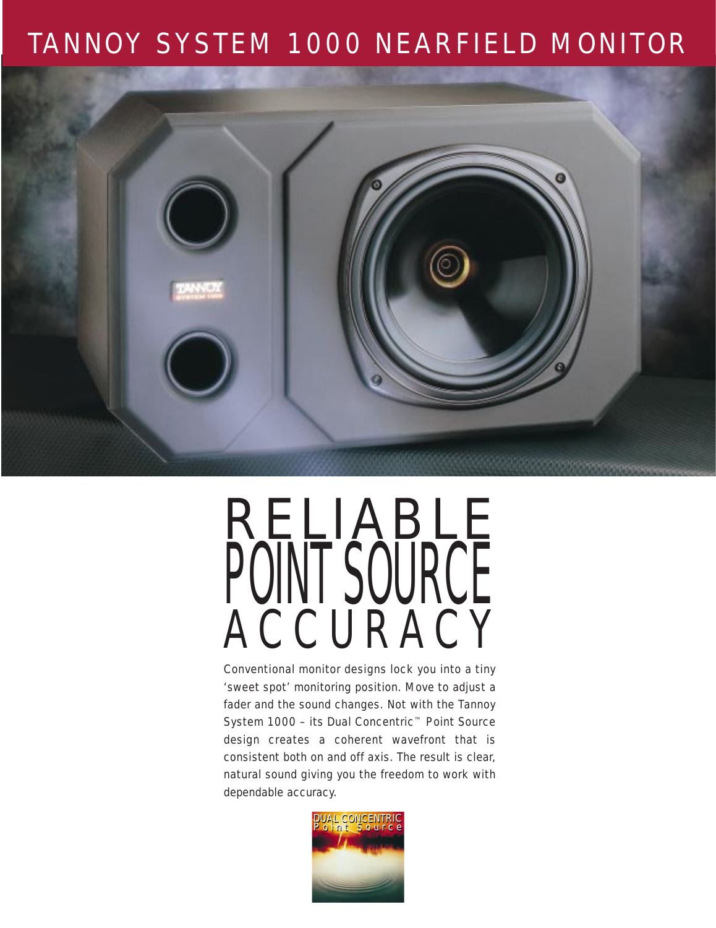### TANNOY SYSTEM 1000 NEARFIELD MONITOR



# RELIABLE PUINT SUURUE ACCURACY

Conventional monitor designs lock you into a tiny 'sweet spot' monitoring position. Move to adjust a fader and the sound changes. Not with the Tannoy System 1000 – its Dual Concentric™ Point Source design creates a coherent wavefront that is consistent both on and off axis. The result is clear, natural sound giving you the freedom to work with dependable accuracy.